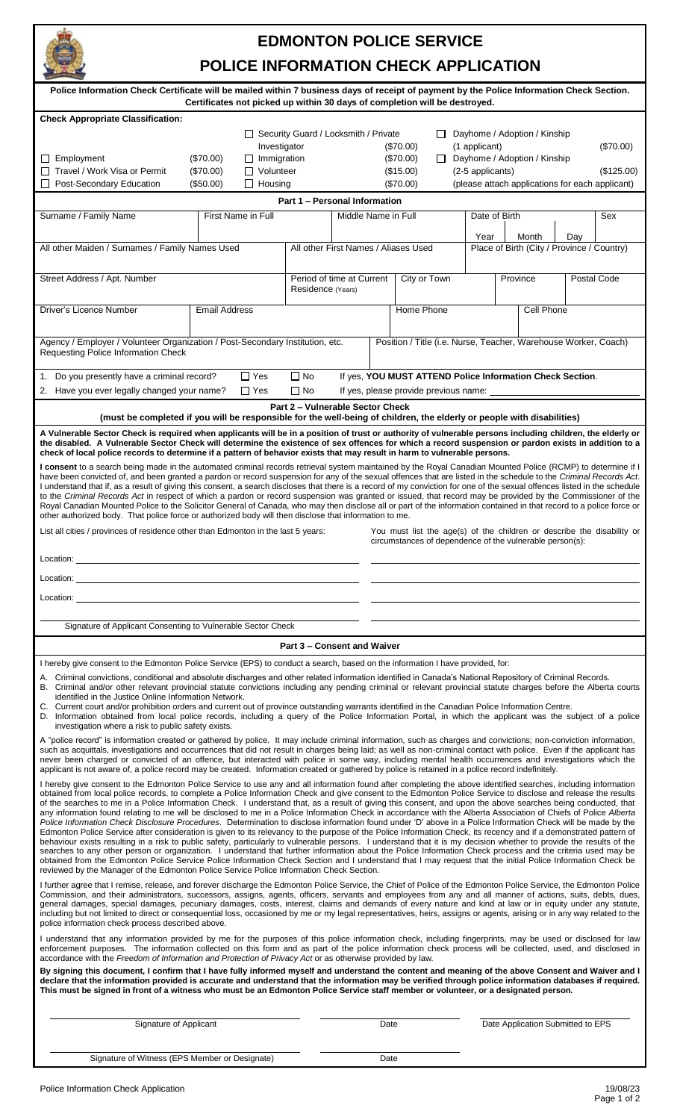

## **EDMONTON POLICE SERVICE**

## **POLICE INFORMATION CHECK APPLICATION**

| Police Information Check Certificate will be mailed within 7 business days of receipt of payment by the Police Information Check Section.<br>Certificates not picked up within 30 days of completion will be destroyed.                                                                                                                                                                                                                                                                                                                                                                                                                                                                                                                                                                                                                                                                                                                                                                                                                                                                                                                                                                                                                                                                                                                                                                                                                                                                                                                                                                                          |                          |                                    |                                      |                                                                                                     |               |                              |                                       |                  |                                                                                                                                    |  |            |
|------------------------------------------------------------------------------------------------------------------------------------------------------------------------------------------------------------------------------------------------------------------------------------------------------------------------------------------------------------------------------------------------------------------------------------------------------------------------------------------------------------------------------------------------------------------------------------------------------------------------------------------------------------------------------------------------------------------------------------------------------------------------------------------------------------------------------------------------------------------------------------------------------------------------------------------------------------------------------------------------------------------------------------------------------------------------------------------------------------------------------------------------------------------------------------------------------------------------------------------------------------------------------------------------------------------------------------------------------------------------------------------------------------------------------------------------------------------------------------------------------------------------------------------------------------------------------------------------------------------|--------------------------|------------------------------------|--------------------------------------|-----------------------------------------------------------------------------------------------------|---------------|------------------------------|---------------------------------------|------------------|------------------------------------------------------------------------------------------------------------------------------------|--|------------|
| <b>Check Appropriate Classification:</b><br>Security Guard / Locksmith / Private<br>$\mathsf{L}$<br>Investigator<br>(\$70.00)                                                                                                                                                                                                                                                                                                                                                                                                                                                                                                                                                                                                                                                                                                                                                                                                                                                                                                                                                                                                                                                                                                                                                                                                                                                                                                                                                                                                                                                                                    |                          |                                    |                                      |                                                                                                     | (1 applicant) | Dayhome / Adoption / Kinship |                                       | (\$70.00)        |                                                                                                                                    |  |            |
| Employment<br>ப                                                                                                                                                                                                                                                                                                                                                                                                                                                                                                                                                                                                                                                                                                                                                                                                                                                                                                                                                                                                                                                                                                                                                                                                                                                                                                                                                                                                                                                                                                                                                                                                  | $(\$70.00)$              | $\Box$ Immigration                 |                                      |                                                                                                     |               | (\$70.00)                    | $\mathsf{L}$                          |                  | Dayhome / Adoption / Kinship                                                                                                       |  |            |
| Travel / Work Visa or Permit<br>$\Box$<br>Post-Secondary Education<br>$\perp$                                                                                                                                                                                                                                                                                                                                                                                                                                                                                                                                                                                                                                                                                                                                                                                                                                                                                                                                                                                                                                                                                                                                                                                                                                                                                                                                                                                                                                                                                                                                    | $(\$70.00)$<br>(\$50.00) | $\Box$ Volunteer<br>$\Box$ Housing |                                      |                                                                                                     |               | (\$15.00)<br>(\$70.00)       |                                       | (2-5 applicants) | (please attach applications for each applicant)                                                                                    |  | (\$125.00) |
|                                                                                                                                                                                                                                                                                                                                                                                                                                                                                                                                                                                                                                                                                                                                                                                                                                                                                                                                                                                                                                                                                                                                                                                                                                                                                                                                                                                                                                                                                                                                                                                                                  |                          |                                    | <b>Part 1 - Personal Information</b> |                                                                                                     |               |                              |                                       |                  |                                                                                                                                    |  |            |
| Surname / Family Name                                                                                                                                                                                                                                                                                                                                                                                                                                                                                                                                                                                                                                                                                                                                                                                                                                                                                                                                                                                                                                                                                                                                                                                                                                                                                                                                                                                                                                                                                                                                                                                            | First Name in Full       |                                    |                                      | Middle Name in Full                                                                                 |               |                              |                                       | Date of Birth    |                                                                                                                                    |  | Sex        |
| All other Maiden / Surnames / Family Names Used                                                                                                                                                                                                                                                                                                                                                                                                                                                                                                                                                                                                                                                                                                                                                                                                                                                                                                                                                                                                                                                                                                                                                                                                                                                                                                                                                                                                                                                                                                                                                                  |                          |                                    |                                      | Month<br>Year<br>Place of Birth (City / Province / Country)<br>All other First Names / Aliases Used |               |                              | Day                                   |                  |                                                                                                                                    |  |            |
| Street Address / Apt. Number                                                                                                                                                                                                                                                                                                                                                                                                                                                                                                                                                                                                                                                                                                                                                                                                                                                                                                                                                                                                                                                                                                                                                                                                                                                                                                                                                                                                                                                                                                                                                                                     |                          |                                    |                                      | Period of time at Current<br>City or Town<br>Province<br>Residence (Years)                          |               |                              |                                       | Postal Code      |                                                                                                                                    |  |            |
| Driver's Licence Number                                                                                                                                                                                                                                                                                                                                                                                                                                                                                                                                                                                                                                                                                                                                                                                                                                                                                                                                                                                                                                                                                                                                                                                                                                                                                                                                                                                                                                                                                                                                                                                          | <b>Email Address</b>     |                                    |                                      |                                                                                                     |               | Home Phone                   |                                       |                  | Cell Phone                                                                                                                         |  |            |
| Agency / Employer / Volunteer Organization / Post-Secondary Institution, etc.<br>Requesting Police Information Check                                                                                                                                                                                                                                                                                                                                                                                                                                                                                                                                                                                                                                                                                                                                                                                                                                                                                                                                                                                                                                                                                                                                                                                                                                                                                                                                                                                                                                                                                             |                          |                                    |                                      |                                                                                                     |               |                              |                                       |                  | Position / Title (i.e. Nurse, Teacher, Warehouse Worker, Coach)                                                                    |  |            |
|                                                                                                                                                                                                                                                                                                                                                                                                                                                                                                                                                                                                                                                                                                                                                                                                                                                                                                                                                                                                                                                                                                                                                                                                                                                                                                                                                                                                                                                                                                                                                                                                                  |                          |                                    |                                      |                                                                                                     |               |                              |                                       |                  |                                                                                                                                    |  |            |
| 1. Do you presently have a criminal record?<br>2. Have you ever legally changed your name?                                                                                                                                                                                                                                                                                                                                                                                                                                                                                                                                                                                                                                                                                                                                                                                                                                                                                                                                                                                                                                                                                                                                                                                                                                                                                                                                                                                                                                                                                                                       |                          | $\Box$ Yes<br>$\Box$ Yes           | $\Box$ No<br>∏ No                    |                                                                                                     |               |                              | If yes, please provide previous name: |                  | If yes, YOU MUST ATTEND Police Information Check Section.                                                                          |  |            |
| (must be completed if you will be responsible for the well-being of children, the elderly or people with disabilities)                                                                                                                                                                                                                                                                                                                                                                                                                                                                                                                                                                                                                                                                                                                                                                                                                                                                                                                                                                                                                                                                                                                                                                                                                                                                                                                                                                                                                                                                                           |                          |                                    | Part 2 - Vulnerable Sector Check     |                                                                                                     |               |                              |                                       |                  |                                                                                                                                    |  |            |
| A Vulnerable Sector Check is required when applicants will be in a position of trust or authority of vulnerable persons including children, the elderly or<br>the disabled. A Vulnerable Sector Check will determine the existence of sex offences for which a record suspension or pardon exists in addition to a                                                                                                                                                                                                                                                                                                                                                                                                                                                                                                                                                                                                                                                                                                                                                                                                                                                                                                                                                                                                                                                                                                                                                                                                                                                                                               |                          |                                    |                                      |                                                                                                     |               |                              |                                       |                  |                                                                                                                                    |  |            |
| check of local police records to determine if a pattern of behavior exists that may result in harm to vulnerable persons.<br>I consent to a search being made in the automated criminal records retrieval system maintained by the Royal Canadian Mounted Police (RCMP) to determine if I<br>have been convicted of, and been granted a pardon or record suspension for any of the sexual offences that are listed in the schedule to the Criminal Records Act.<br>I understand that if, as a result of giving this consent, a search discloses that there is a record of my conviction for one of the sexual offences listed in the schedule<br>to the Criminal Records Act in respect of which a pardon or record suspension was granted or issued, that record may be provided by the Commissioner of the<br>Royal Canadian Mounted Police to the Solicitor General of Canada, who may then disclose all or part of the information contained in that record to a police force or<br>other authorized body. That police force or authorized body will then disclose that information to me.                                                                                                                                                                                                                                                                                                                                                                                                                                                                                                                   |                          |                                    |                                      |                                                                                                     |               |                              |                                       |                  |                                                                                                                                    |  |            |
| List all cities / provinces of residence other than Edmonton in the last 5 years:                                                                                                                                                                                                                                                                                                                                                                                                                                                                                                                                                                                                                                                                                                                                                                                                                                                                                                                                                                                                                                                                                                                                                                                                                                                                                                                                                                                                                                                                                                                                |                          |                                    |                                      |                                                                                                     |               |                              |                                       |                  | You must list the age(s) of the children or describe the disability or<br>circumstances of dependence of the vulnerable person(s): |  |            |
| Location:                                                                                                                                                                                                                                                                                                                                                                                                                                                                                                                                                                                                                                                                                                                                                                                                                                                                                                                                                                                                                                                                                                                                                                                                                                                                                                                                                                                                                                                                                                                                                                                                        |                          |                                    |                                      |                                                                                                     |               |                              |                                       |                  |                                                                                                                                    |  |            |
| Location:                                                                                                                                                                                                                                                                                                                                                                                                                                                                                                                                                                                                                                                                                                                                                                                                                                                                                                                                                                                                                                                                                                                                                                                                                                                                                                                                                                                                                                                                                                                                                                                                        |                          |                                    |                                      |                                                                                                     |               |                              |                                       |                  |                                                                                                                                    |  |            |
| Location:                                                                                                                                                                                                                                                                                                                                                                                                                                                                                                                                                                                                                                                                                                                                                                                                                                                                                                                                                                                                                                                                                                                                                                                                                                                                                                                                                                                                                                                                                                                                                                                                        |                          |                                    |                                      |                                                                                                     |               |                              |                                       |                  |                                                                                                                                    |  |            |
| Signature of Applicant Consenting to Vulnerable Sector Check                                                                                                                                                                                                                                                                                                                                                                                                                                                                                                                                                                                                                                                                                                                                                                                                                                                                                                                                                                                                                                                                                                                                                                                                                                                                                                                                                                                                                                                                                                                                                     |                          |                                    |                                      |                                                                                                     |               |                              |                                       |                  |                                                                                                                                    |  |            |
|                                                                                                                                                                                                                                                                                                                                                                                                                                                                                                                                                                                                                                                                                                                                                                                                                                                                                                                                                                                                                                                                                                                                                                                                                                                                                                                                                                                                                                                                                                                                                                                                                  |                          |                                    | <b>Part 3 - Consent and Waiver</b>   |                                                                                                     |               |                              |                                       |                  |                                                                                                                                    |  |            |
| I hereby give consent to the Edmonton Police Service (EPS) to conduct a search, based on the information I have provided, for:                                                                                                                                                                                                                                                                                                                                                                                                                                                                                                                                                                                                                                                                                                                                                                                                                                                                                                                                                                                                                                                                                                                                                                                                                                                                                                                                                                                                                                                                                   |                          |                                    |                                      |                                                                                                     |               |                              |                                       |                  |                                                                                                                                    |  |            |
| A. Criminal convictions, conditional and absolute discharges and other related information identified in Canada's National Repository of Criminal Records.<br>B. Criminal and/or other relevant provincial statute convictions including any pending criminal or relevant provincial statute charges before the Alberta courts<br>identified in the Justice Online Information Network.<br>C. Current court and/or prohibition orders and current out of province outstanding warrants identified in the Canadian Police Information Centre.<br>D. Information obtained from local police records, including a query of the Police Information Portal, in which the applicant was the subject of a police<br>investigation where a risk to public safety exists.                                                                                                                                                                                                                                                                                                                                                                                                                                                                                                                                                                                                                                                                                                                                                                                                                                                 |                          |                                    |                                      |                                                                                                     |               |                              |                                       |                  |                                                                                                                                    |  |            |
| A "police record" is information created or gathered by police. It may include criminal information, such as charges and convictions; non-conviction information,<br>such as acquittals, investigations and occurrences that did not result in charges being laid; as well as non-criminal contact with police. Even if the applicant has<br>never been charged or convicted of an offence, but interacted with police in some way, including mental health occurrences and investigations which the<br>applicant is not aware of, a police record may be created. Information created or gathered by police is retained in a police record indefinitely.                                                                                                                                                                                                                                                                                                                                                                                                                                                                                                                                                                                                                                                                                                                                                                                                                                                                                                                                                        |                          |                                    |                                      |                                                                                                     |               |                              |                                       |                  |                                                                                                                                    |  |            |
| I hereby give consent to the Edmonton Police Service to use any and all information found after completing the above identified searches, including information<br>obtained from local police records, to complete a Police Information Check and give consent to the Edmonton Police Service to disclose and release the results<br>of the searches to me in a Police Information Check. I understand that, as a result of giving this consent, and upon the above searches being conducted, that<br>any information found relating to me will be disclosed to me in a Police Information Check in accordance with the Alberta Association of Chiefs of Police Alberta<br>Police Information Check Disclosure Procedures. Determination to disclose information found under 'D' above in a Police Information Check will be made by the<br>Edmonton Police Service after consideration is given to its relevancy to the purpose of the Police Information Check, its recency and if a demonstrated pattern of<br>behaviour exists resulting in a risk to public safety, particularly to vulnerable persons. I understand that it is my decision whether to provide the results of the<br>searches to any other person or organization. I understand that further information about the Police Information Check process and the criteria used may be<br>obtained from the Edmonton Police Service Police Information Check Section and I understand that I may request that the initial Police Information Check be<br>reviewed by the Manager of the Edmonton Police Service Police Information Check Section. |                          |                                    |                                      |                                                                                                     |               |                              |                                       |                  |                                                                                                                                    |  |            |
| I further agree that I remise, release, and forever discharge the Edmonton Police Service, the Chief of Police of the Edmonton Police Service, the Edmonton Police<br>Commission, and their administrators, successors, assigns, agents, officers, servants and employees from any and all manner of actions, suits, debts, dues,<br>general damages, special damages, pecuniary damages, costs, interest, claims and demands of every nature and kind at law or in equity under any statute,<br>including but not limited to direct or consequential loss, occasioned by me or my legal representatives, heirs, assigns or agents, arising or in any way related to the<br>police information check process described above.                                                                                                                                                                                                                                                                                                                                                                                                                                                                                                                                                                                                                                                                                                                                                                                                                                                                                    |                          |                                    |                                      |                                                                                                     |               |                              |                                       |                  |                                                                                                                                    |  |            |
| I understand that any information provided by me for the purposes of this police information check, including fingerprints, may be used or disclosed for law<br>enforcement purposes. The information collected on this form and as part of the police information check process will be collected, used, and disclosed in<br>accordance with the Freedom of Information and Protection of Privacy Act or as otherwise provided by law.<br>By signing this document, I confirm that I have fully informed myself and understand the content and meaning of the above Consent and Waiver and I<br>declare that the information provided is accurate and understand that the information may be verified through police information databases if required.                                                                                                                                                                                                                                                                                                                                                                                                                                                                                                                                                                                                                                                                                                                                                                                                                                                         |                          |                                    |                                      |                                                                                                     |               |                              |                                       |                  |                                                                                                                                    |  |            |
| This must be signed in front of a witness who must be an Edmonton Police Service staff member or volunteer, or a designated person.                                                                                                                                                                                                                                                                                                                                                                                                                                                                                                                                                                                                                                                                                                                                                                                                                                                                                                                                                                                                                                                                                                                                                                                                                                                                                                                                                                                                                                                                              |                          |                                    |                                      |                                                                                                     |               |                              |                                       |                  |                                                                                                                                    |  |            |
| Signature of Applicant                                                                                                                                                                                                                                                                                                                                                                                                                                                                                                                                                                                                                                                                                                                                                                                                                                                                                                                                                                                                                                                                                                                                                                                                                                                                                                                                                                                                                                                                                                                                                                                           |                          |                                    |                                      |                                                                                                     | Date          |                              |                                       |                  | Date Application Submitted to EPS                                                                                                  |  |            |

Signature of Witness (EPS Member or Designate) Date